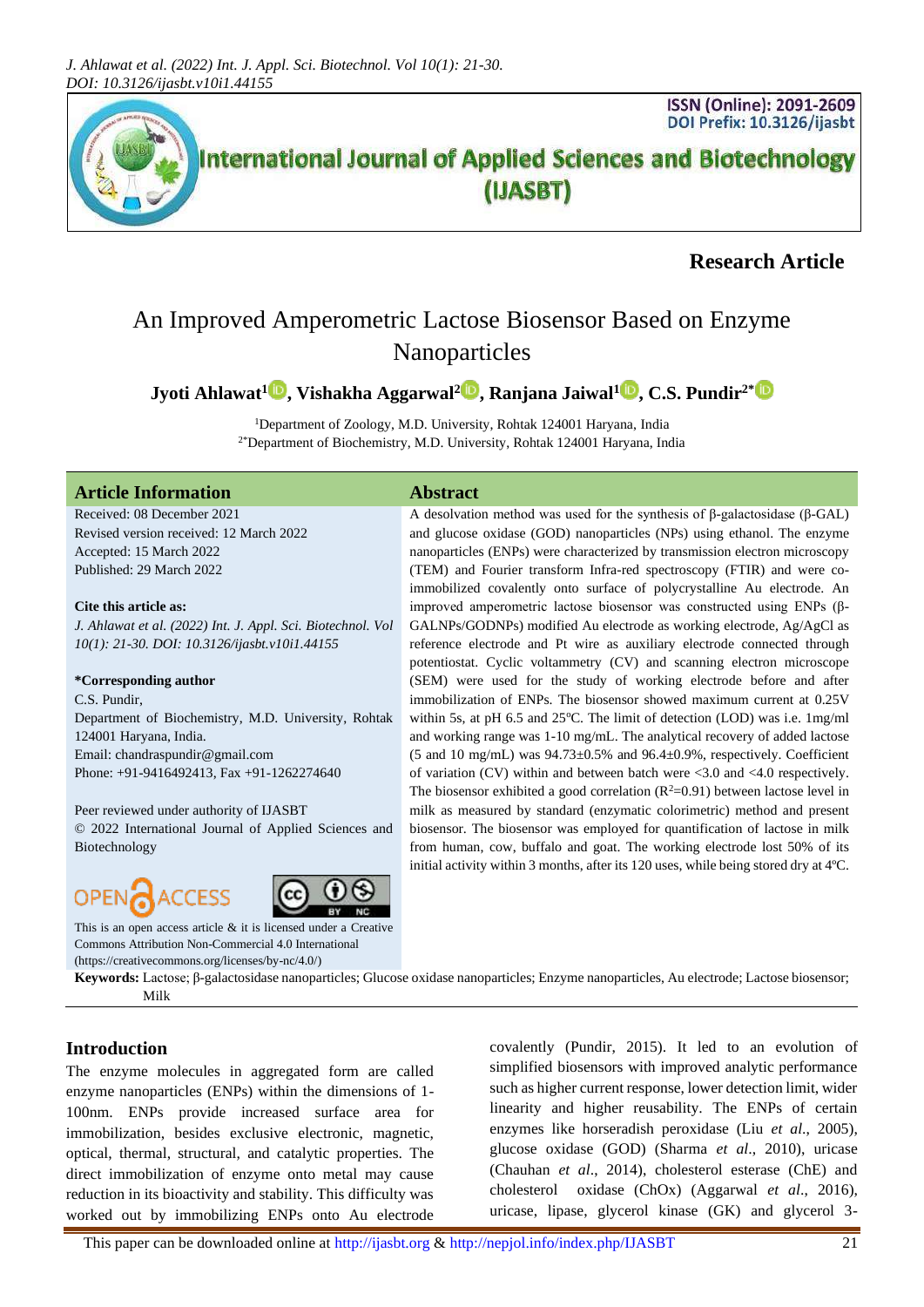

# **Research Article**

# An Improved Amperometric Lactose Biosensor Based on Enzyme Nanoparticles

**Jyoti Ahlawat[1](https://orcid.org/0000-0002-2621-4870) , Vishakha Aggarwal<sup>2</sup> , Ranjana Jaiwal[1](https://orcid.org/) , C.S. Pundir2[\\*](https://orcid.org/0000-0008-9262-4210)**

<sup>1</sup>Department of Zoology, M.D. University, Rohtak 124001 Haryana, India 2\*Department of Biochemistry, M.D. University, Rohtak 124001 Haryana, India

## **Article Information Abstract**

Received: 08 December 2021 Revised version received: 12 March 2022 Accepted: 15 March 2022 Published: 29 March 2022

#### **Cite this article as:**

*J. Ahlawat et al. (2022) Int. J. Appl. Sci. Biotechnol. Vol 10(1): 21-30. DOI: 10.3126/ijasbt.v10i1.44155*

#### **\*Corresponding author**

C.S. Pundir, Department of Biochemistry, M.D. University, Rohtak 124001 Haryana, India. Email: chandraspundir@gmail.com Phone: +91-9416492413, Fax +91-1262274640

Peer reviewed under authority of IJASBT

© 2022 International Journal of Applied Sciences and Biotechnology

## **OPEN** ACCESS



This is an open access article & it is licensed under a [Creative](https://creativecommons.org/licenses/by-nc/4.0/)  [Commons Attribution Non-Commercial 4.0 International](https://creativecommons.org/licenses/by-nc/4.0/) [\(https://creativecommons.org/licenses/by-nc/4.0/\)](https://creativecommons.org/licenses/by-nc/4.0/)

**Keywords:** Lactose; β-galactosidase nanoparticles; Glucose oxidase nanoparticles; Enzyme nanoparticles, Au electrode; Lactose biosensor; Milk

## **Introduction**

The enzyme molecules in aggregated form are called enzyme nanoparticles (ENPs) within the dimensions of 1- 100nm. ENPs provide increased surface area for immobilization, besides exclusive electronic, magnetic, optical, thermal, structural, and catalytic properties. The direct immobilization of enzyme onto metal may cause reduction in its bioactivity and stability. This difficulty was worked out by immobilizing ENPs onto Au electrode

covalently (Pundir, 2015). It led to an evolution of simplified biosensors with improved analytic performance such as higher current response, lower detection limit, wider linearity and higher reusability. The ENPs of certain enzymes like horseradish peroxidase (Liu *et al*., 2005), glucose oxidase (GOD) (Sharma *et al*., 2010), uricase (Chauhan *et al*., 2014), cholesterol esterase (ChE) and cholesterol oxidase (ChOx) (Aggarwal *et al*., 2016), uricase, lipase, glycerol kinase (GK) and glycerol 3-

A desolvation method was used for the synthesis of β-galactosidase (β-GAL) and glucose oxidase (GOD) nanoparticles (NPs) using ethanol. The enzyme nanoparticles (ENPs) were characterized by transmission electron microscopy (TEM) and Fourier transform Infra-red spectroscopy (FTIR) and were coimmobilized covalently onto surface of polycrystalline Au electrode. An improved amperometric lactose biosensor was constructed using ENPs (β-GALNPs/GODNPs) modified Au electrode as working electrode, Ag/AgCl as reference electrode and Pt wire as auxiliary electrode connected through potentiostat. Cyclic voltammetry (CV) and scanning electron microscope (SEM) were used for the study of working electrode before and after immobilization of ENPs. The biosensor showed maximum current at 0.25V within 5s, at pH 6.5 and 25 $^{\circ}$ C. The limit of detection (LOD) was i.e. 1mg/ml and working range was 1-10 mg/mL. The analytical recovery of added lactose (5 and 10 mg/mL) was 94.73±0.5% and 96.4±0.9%, respectively. Coefficient of variation (CV) within and between batch were <3.0 and <4.0 respectively. The biosensor exhibited a good correlation  $(R^2=0.91)$  between lactose level in milk as measured by standard (enzymatic colorimetric) method and present biosensor. The biosensor was employed for quantification of lactose in milk from human, cow, buffalo and goat. The working electrode lost 50% of its initial activity within 3 months, after its 120 uses, while being stored dry at 4ºC.

This paper can be downloaded online a[t http://ijasbt.org](http://ijasbt.org/) & <http://nepjol.info/index.php/IJASBT>21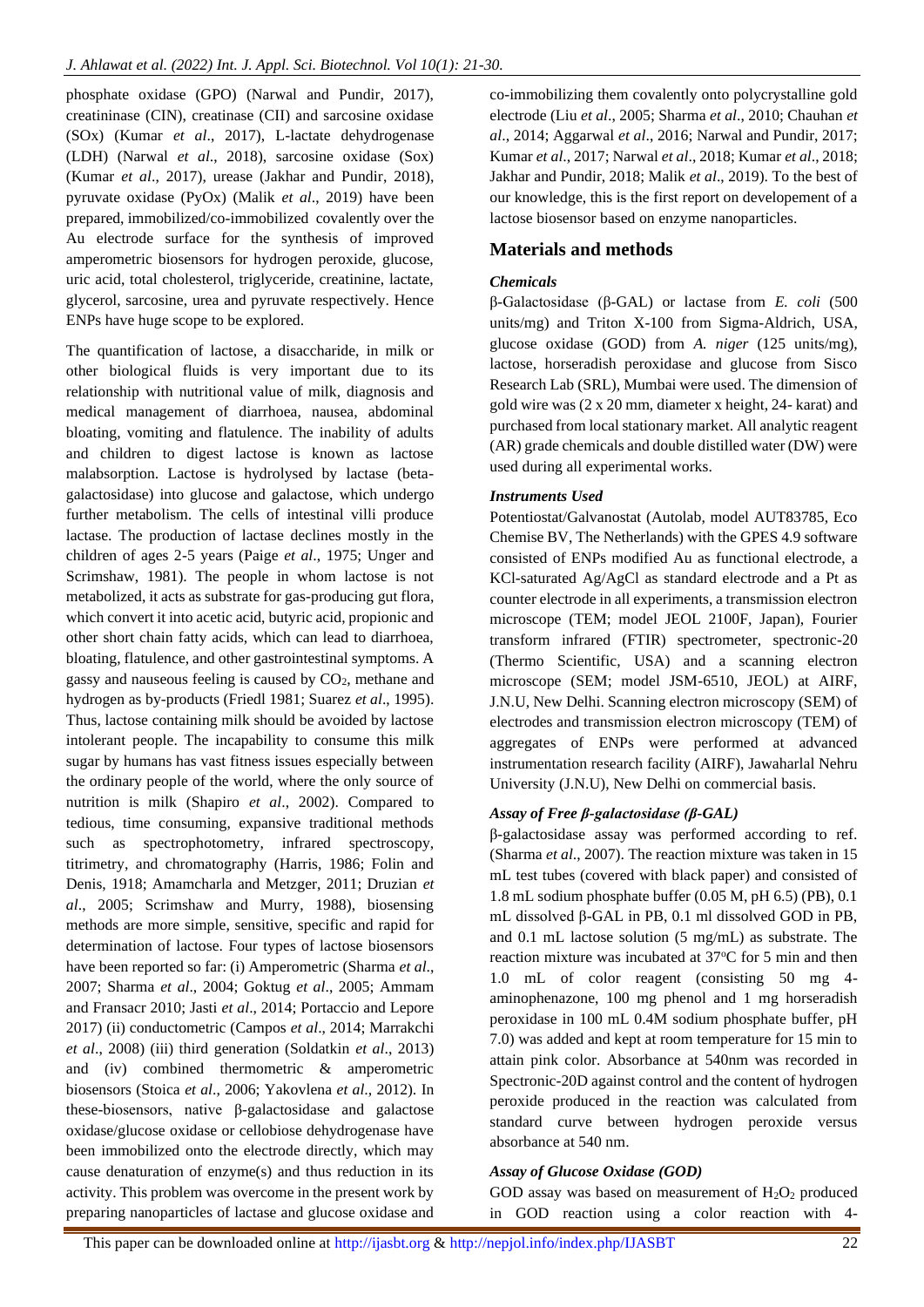phosphate oxidase (GPO) (Narwal and Pundir, 2017), creatininase (CIN), creatinase (CII) and sarcosine oxidase (SOx) (Kumar *et al*., 2017), L-lactate dehydrogenase (LDH) (Narwal *et al*., 2018), sarcosine oxidase (Sox) (Kumar *et al*., 2017), urease (Jakhar and Pundir, 2018), pyruvate oxidase (PyOx) (Malik *et al*., 2019) have been prepared, immobilized/co-immobilized covalently over the Au electrode surface for the synthesis of improved amperometric biosensors for hydrogen peroxide, glucose, uric acid, total cholesterol, triglyceride, creatinine, lactate, glycerol, sarcosine, urea and pyruvate respectively. Hence ENPs have huge scope to be explored.

The quantification of lactose, a disaccharide, in milk or other biological fluids is very important due to its relationship with nutritional value of milk, diagnosis and medical management of diarrhoea, nausea, abdominal bloating, vomiting and flatulence. The inability of adults and children to digest lactose is known as lactose malabsorption. Lactose is hydrolysed by lactase (betagalactosidase) into glucose and galactose, which undergo further metabolism. The cells of intestinal villi produce lactase. The production of lactase declines mostly in the children of ages 2-5 years (Paige *et al*., 1975; Unger and Scrimshaw, 1981). The people in whom lactose is not metabolized, it acts as substrate for gas-producing [gut flora,](https://en.wikipedia.org/wiki/Gut_flora) which convert it into acetic acid, butyric acid, propionic and other short chain fatty acids, which can lead to diarrhoea, bloating, flatulence, and other gastrointestinal symptoms. A gassy and nauseous feeling is caused by  $CO<sub>2</sub>$ , methane and hydrogen as by-products (Friedl 1981; Suarez *et al*., 1995). Thus, lactose containing milk should be avoided by lactose intolerant people. The incapability to consume this milk sugar by humans has vast fitness issues especially between the ordinary people of the world, where the only source of nutrition is milk (Shapiro *et al*., 2002). Compared to tedious, time consuming, expansive traditional methods such as spectrophotometry, infrared spectroscopy, titrimetry, and chromatography (Harris, 1986; Folin and Denis, 1918; Amamcharla and Metzger, 2011; Druzian *et al*., 2005; Scrimshaw and Murry, 1988), biosensing methods are more simple, sensitive, specific and rapid for determination of lactose. Four types of lactose biosensors have been reported so far: (i) Amperometric (Sharma *et al*., 2007; Sharma *et al*., 2004; Goktug *et al*., 2005; Ammam and Fransacr 2010; Jasti *et al*., 2014; Portaccio and Lepore 2017) (ii) conductometric (Campos *et al*., 2014; Marrakchi *et al*., 2008) (iii) third generation (Soldatkin *et al*., 2013) and (iv) combined thermometric & amperometric biosensors (Stoica *et al*., 2006; Yakovlena *et al*., 2012). In these-biosensors, native β-galactosidase and galactose oxidase/glucose oxidase or cellobiose dehydrogenase have been immobilized onto the electrode directly, which may cause denaturation of enzyme(s) and thus reduction in its activity. This problem was overcome in the present work by preparing nanoparticles of lactase and glucose oxidase and

co-immobilizing them covalently onto polycrystalline gold electrode (Liu *et al*., 2005; Sharma *et al*., 2010; Chauhan *et al*., 2014; Aggarwal *et al*., 2016; Narwal and Pundir, 2017; Kumar *et al*., 2017; Narwal *et al*., 2018; Kumar *et al*., 2018; Jakhar and Pundir, 2018; Malik *et al*., 2019). To the best of our knowledge, this is the first report on developement of a lactose biosensor based on enzyme nanoparticles.

## **Materials and methods**

#### *Chemicals*

β-Galactosidase (β-GAL) or lactase from *E. coli* (500 units/mg) and Triton X-100 from Sigma-Aldrich, USA, glucose oxidase (GOD) from *A. niger* (125 units/mg), lactose, horseradish peroxidase and glucose from Sisco Research Lab (SRL), Mumbai were used. The dimension of gold wire was (2 x 20 mm, diameter x height, 24- karat) and purchased from local stationary market. All analytic reagent (AR) grade chemicals and double distilled water (DW) were used during all experimental works.

#### *Instruments Used*

Potentiostat/Galvanostat (Autolab, model AUT83785, Eco Chemise BV, The Netherlands) with the GPES 4.9 software consisted of ENPs modified Au as functional electrode, a KCl-saturated Ag/AgCl as standard electrode and a Pt as counter electrode in all experiments, a transmission electron microscope (TEM; model JEOL 2100F, Japan), Fourier transform infrared (FTIR) spectrometer, spectronic-20 (Thermo Scientific, USA) and a scanning electron microscope (SEM; model JSM-6510, JEOL) at AIRF, J.N.U, New Delhi. Scanning electron microscopy (SEM) of electrodes and transmission electron microscopy (TEM) of aggregates of ENPs were performed at advanced instrumentation research facility (AIRF), Jawaharlal Nehru University (J.N.U), New Delhi on commercial basis.

## *Assay of Free β-galactosidase (β-GAL)*

β-galactosidase assay was performed according to ref. (Sharma *et al*., 2007). The reaction mixture was taken in 15 mL test tubes (covered with black paper) and consisted of 1.8 mL sodium phosphate buffer (0.05 M, pH 6.5) (PB), 0.1 mL dissolved β-GAL in PB, 0.1 ml dissolved GOD in PB, and 0.1 mL lactose solution (5 mg/mL) as substrate. The reaction mixture was incubated at 37°C for 5 min and then 1.0 mL of color reagent (consisting 50 mg 4 aminophenazone, 100 mg phenol and 1 mg horseradish peroxidase in 100 mL 0.4M sodium phosphate buffer, pH 7.0) was added and kept at room temperature for 15 min to attain pink color. Absorbance at 540nm was recorded in Spectronic-20D against control and the content of hydrogen peroxide produced in the reaction was calculated from standard curve between hydrogen peroxide versus absorbance at 540 nm.

#### *Assay of Glucose Oxidase (GOD)*

GOD assay was based on measurement of  $H_2O_2$  produced in GOD reaction using a color reaction with 4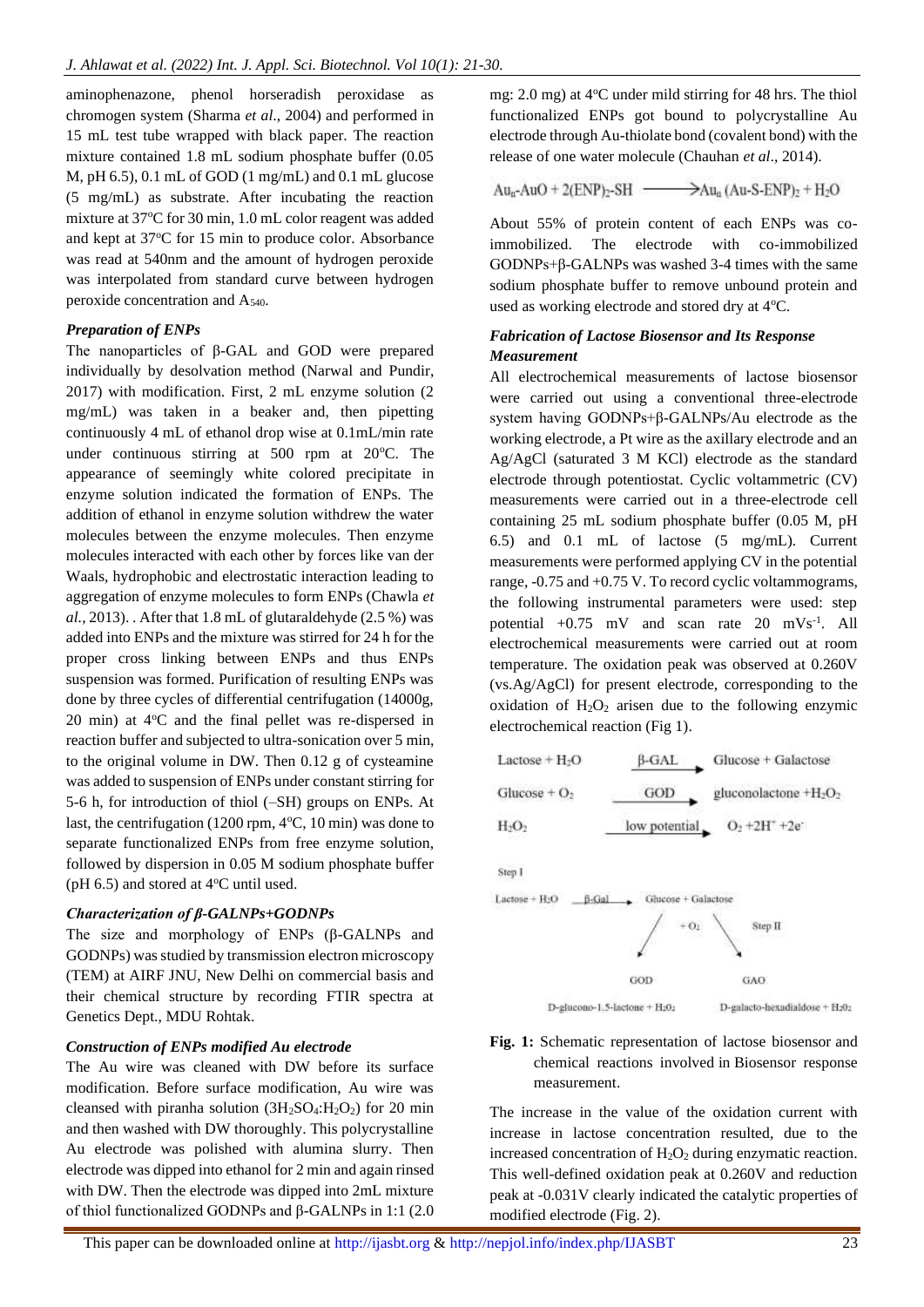aminophenazone, phenol horseradish peroxidase as chromogen system (Sharma *et al*., 2004) and performed in 15 mL test tube wrapped with black paper. The reaction mixture contained 1.8 mL sodium phosphate buffer (0.05 M, pH 6.5), 0.1 mL of GOD (1 mg/mL) and 0.1 mL glucose (5 mg/mL) as substrate. After incubating the reaction mixture at 37°C for 30 min, 1.0 mL color reagent was added and kept at 37<sup>o</sup>C for 15 min to produce color. Absorbance was read at 540nm and the amount of hydrogen peroxide was interpolated from standard curve between hydrogen peroxide concentration and A540.

#### *Preparation of ENPs*

The nanoparticles of β-GAL and GOD were prepared individually by desolvation method (Narwal and Pundir, 2017) with modification. First, 2 mL enzyme solution (2 mg/mL) was taken in a beaker and, then pipetting continuously 4 mL of ethanol drop wise at 0.1mL/min rate under continuous stirring at  $500$  rpm at  $20^{\circ}$ C. The appearance of seemingly white colored precipitate in enzyme solution indicated the formation of ENPs. The addition of ethanol in enzyme solution withdrew the water molecules between the enzyme molecules. Then enzyme molecules interacted with each other by forces like van der Waals, hydrophobic and electrostatic interaction leading to aggregation of enzyme molecules to form ENPs (Chawla *et al.*, 2013). . After that 1.8 mL of glutaraldehyde (2.5 %) was added into ENPs and the mixture was stirred for 24 h for the proper cross linking between ENPs and thus ENPs suspension was formed. Purification of resulting ENPs was done by three cycles of differential centrifugation (14000g,  $20 \text{ min}$ ) at  $4^{\circ}\text{C}$  and the final pellet was re-dispersed in reaction buffer and subjected to ultra-sonication over 5 min, to the original volume in DW. Then 0.12 g of cysteamine was added to suspension of ENPs under constant stirring for 5-6 h, for introduction of thiol (–SH) groups on ENPs. At last, the centrifugation (1200 rpm,  $4^{\circ}C$ , 10 min) was done to separate functionalized ENPs from free enzyme solution, followed by dispersion in 0.05 M sodium phosphate buffer (pH  $6.5$ ) and stored at  $4^{\circ}$ C until used.

## *Characterization of β-GALNPs+GODNPs*

The size and morphology of ENPs (β-GALNPs and GODNPs) was studied by transmission electron microscopy (TEM) at AIRF JNU, New Delhi on commercial basis and their chemical structure by recording FTIR spectra at Genetics Dept., MDU Rohtak.

## *Construction of ENPs modified Au electrode*

The Au wire was cleaned with DW before its surface modification. Before surface modification, Au wire was cleansed with piranha solution  $(3H<sub>2</sub>SO<sub>4</sub>:H<sub>2</sub>O<sub>2</sub>)$  for 20 min and then washed with DW thoroughly. This polycrystalline Au electrode was polished with alumina slurry. Then electrode was dipped into ethanol for 2 min and again rinsed with DW. Then the electrode was dipped into 2mL mixture of thiol functionalized GODNPs and β-GALNPs in 1:1 (2.0

mg:  $2.0 \text{ mg}$ ) at  $4^{\circ}$ C under mild stirring for  $48 \text{ hrs}$ . The thiol functionalized ENPs got bound to polycrystalline Au electrode through Au-thiolate bond (covalent bond) with the release of one water molecule (Chauhan *et al*., 2014).

# $Au_n$ -Au $O + 2(ENP)$ <sub>2</sub>-SH  $\longrightarrow$ Au<sub>a</sub> (Au-S-ENP)<sub>2</sub> + H<sub>2</sub>O

About 55% of protein content of each ENPs was coimmobilized. The electrode with co-immobilized GODNPs+β-GALNPs was washed 3-4 times with the same sodium phosphate buffer to remove unbound protein and used as working electrode and stored dry at 4°C.

## *Fabrication of Lactose Biosensor and Its Response Measurement*

All electrochemical measurements of lactose biosensor were carried out using a conventional three-electrode system having GODNPs+β-GALNPs/Au electrode as the working electrode, a Pt wire as the axillary electrode and an Ag/AgCl (saturated 3 M KCl) electrode as the standard electrode through potentiostat. Cyclic voltammetric (CV) measurements were carried out in a three-electrode cell containing 25 mL sodium phosphate buffer (0.05 M, pH 6.5) and 0.1 mL of lactose (5 mg/mL). Current measurements were performed applying CV in the potential range, -0.75 and +0.75 V. To record cyclic voltammograms, the following instrumental parameters were used: step potential  $+0.75$  mV and scan rate 20 mVs<sup>-1</sup>. All electrochemical measurements were carried out at room temperature. The oxidation peak was observed at 0.260V (vs.Ag/AgCl) for present electrode, corresponding to the oxidation of  $H_2O_2$  arisen due to the following enzymic electrochemical reaction (Fig 1).

| $Lactose + H2O$          | Glucose + Galactose<br>B-GAL                         |
|--------------------------|------------------------------------------------------|
| Glucose + $O2$           | GOD<br>gluconolactone +H <sub>2</sub> O <sub>2</sub> |
| $H_2O_2$                 | $O_2 + 2H^+ + 2e^-$<br>low potential.                |
| Step I                   |                                                      |
| $Lactose + H2O$<br>B-Gal | Glucose + Galactose                                  |





The increase in the value of the oxidation current with increase in lactose concentration resulted, due to the increased concentration of  $H_2O_2$  during enzymatic reaction. This well-defined oxidation peak at 0.260V and reduction peak at -0.031V clearly indicated the catalytic properties of modified electrode (Fig. 2).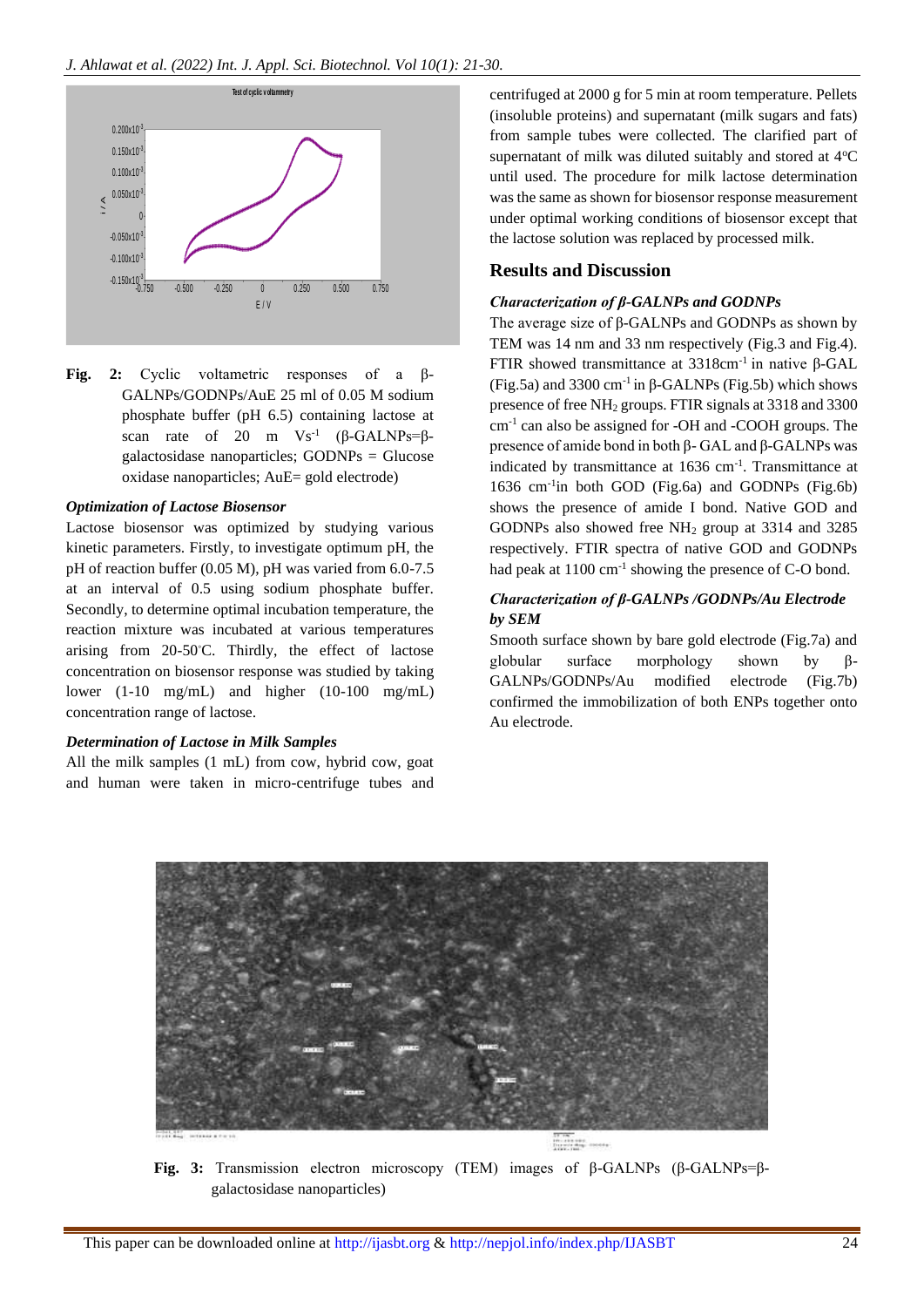

**Fig. 2:** Cyclic voltametric responses of a β-GALNPs/GODNPs/AuE 25 ml of 0.05 M sodium phosphate buffer (pH 6.5) containing lactose at scan rate of 20 m  $Vs^{-1}$  ( $\beta$ -GALNPs= $\beta$ galactosidase nanoparticles; GODNPs = Glucose oxidase nanoparticles; AuE= gold electrode)

#### *Optimization of Lactose Biosensor*

Lactose biosensor was optimized by studying various kinetic parameters. Firstly, to investigate optimum pH, the pH of reaction buffer (0.05 M), pH was varied from 6.0-7.5 at an interval of 0.5 using sodium phosphate buffer. Secondly, to determine optimal incubation temperature, the reaction mixture was incubated at various temperatures arising from 20-50◦C. Thirdly, the effect of lactose concentration on biosensor response was studied by taking lower (1-10 mg/mL) and higher (10-100 mg/mL) concentration range of lactose.

#### *Determination of Lactose in Milk Samples*

All the milk samples (1 mL) from cow, hybrid cow, goat and human were taken in micro-centrifuge tubes and

centrifuged at 2000 g for 5 min at room temperature. Pellets (insoluble proteins) and supernatant (milk sugars and fats) from sample tubes were collected. The clarified part of supernatant of milk was diluted suitably and stored at  $4^{\circ}C$ until used. The procedure for milk lactose determination was the same as shown for biosensor response measurement under optimal working conditions of biosensor except that the lactose solution was replaced by processed milk.

#### **Results and Discussion**

## *Characterization of β-GALNPs and GODNPs*

The average size of β-GALNPs and GODNPs as shown by TEM was 14 nm and 33 nm respectively (Fig.3 and Fig.4). FTIR showed transmittance at 3318cm-1 in native β-GAL (Fig.5a) and 3300 cm<sup>-1</sup> in β-GALNPs (Fig.5b) which shows presence of free NH<sup>2</sup> groups. FTIR signals at 3318 and 3300 cm-1 can also be assigned for -OH and -COOH groups. The presence of amide bond in both β- GAL and β-GALNPs was indicated by transmittance at 1636 cm<sup>-1</sup>. Transmittance at 1636 cm-1 in both GOD (Fig.6a) and GODNPs (Fig.6b) shows the presence of amide I bond. Native GOD and GODNPs also showed free NH<sup>2</sup> group at 3314 and 3285 respectively. FTIR spectra of native GOD and GODNPs had peak at 1100 cm<sup>-1</sup> showing the presence of C-O bond.

#### *Characterization of β-GALNPs /GODNPs/Au Electrode by SEM*

Smooth surface shown by bare gold electrode (Fig.7a) and globular surface morphology shown by β-GALNPs/GODNPs/Au modified electrode (Fig.7b) confirmed the immobilization of both ENPs together onto Au electrode.



**Fig. 3:** Transmission electron microscopy (TEM) images of β-GALNPs (β-GALNPs=βgalactosidase nanoparticles)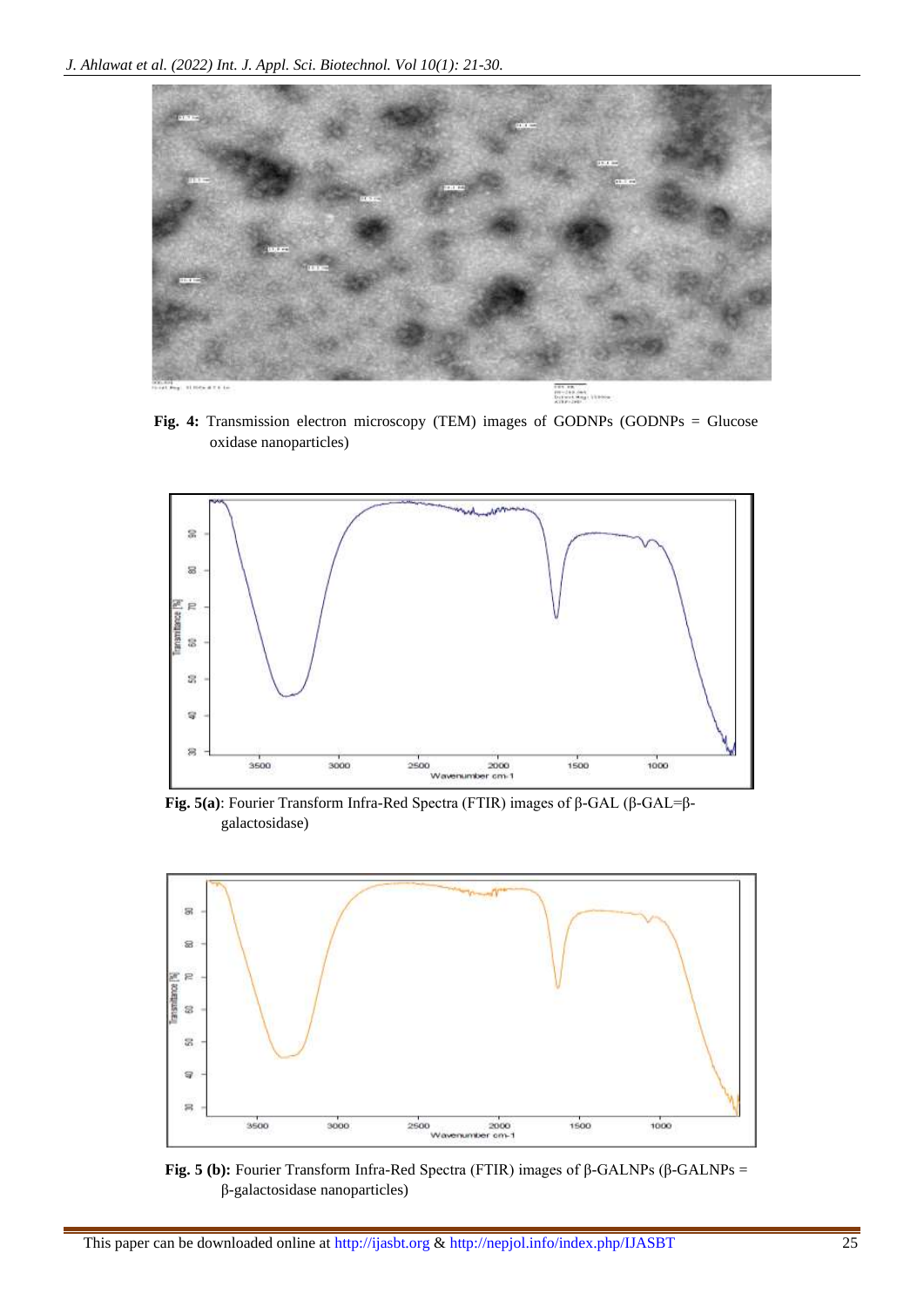

**Fig. 4:** Transmission electron microscopy (TEM) images of GODNPs (GODNPs = Glucose oxidase nanoparticles)



**Fig. 5(a)**: Fourier Transform Infra-Red Spectra (FTIR) images of β-GAL (β-GAL=βgalactosidase)



**Fig. 5** (b): Fourier Transform Infra-Red Spectra (FTIR) images of β-GALNPs (β-GALNPs = β-galactosidase nanoparticles)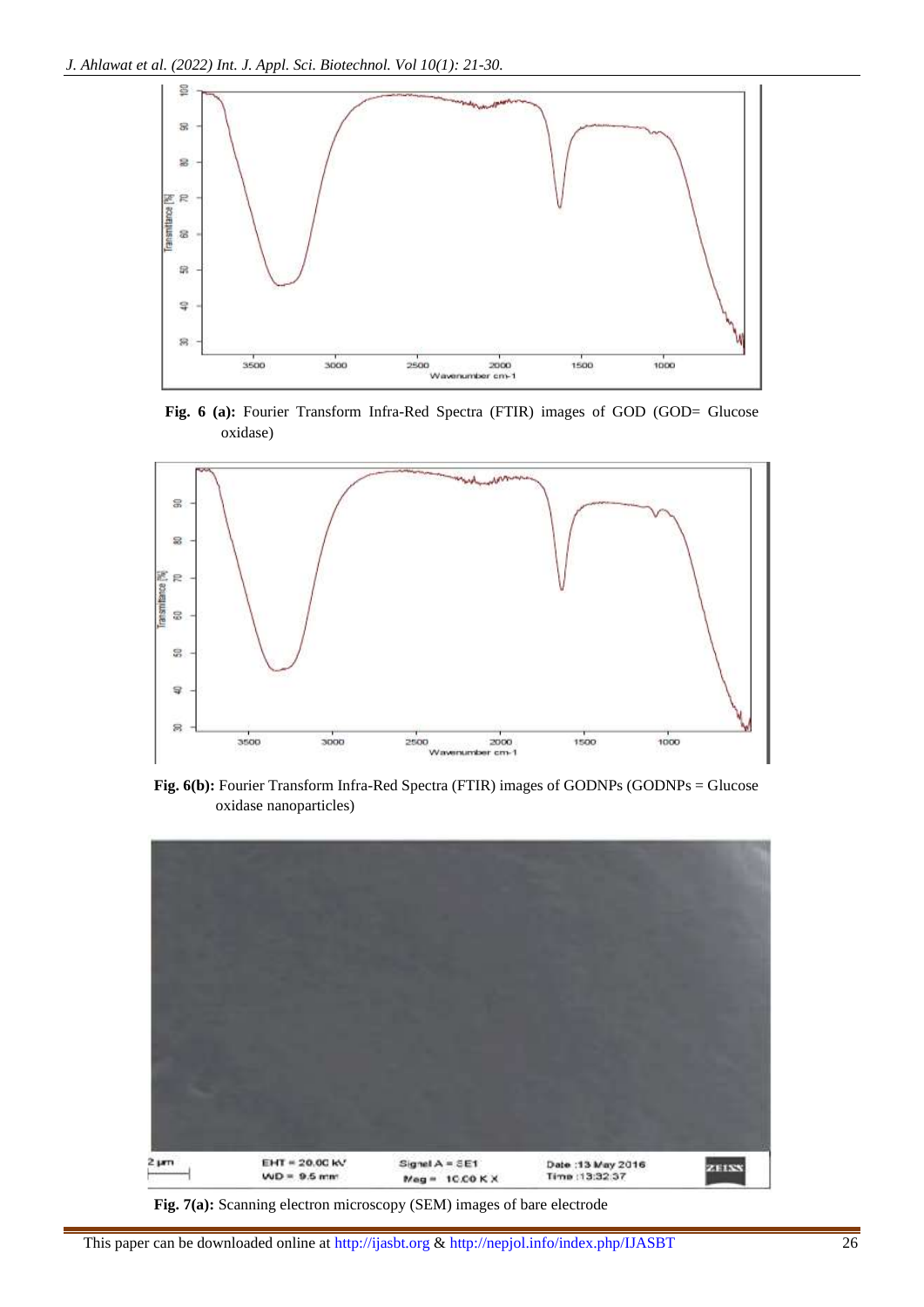

**Fig. 6 (a):** Fourier Transform Infra-Red Spectra (FTIR) images of GOD (GOD= Glucose oxidase)



**Fig. 6(b):** Fourier Transform Infra-Red Spectra (FTIR) images of GODNPs (GODNPs = Glucose oxidase nanoparticles)



**Fig. 7(a):** Scanning electron microscopy (SEM) images of bare electrode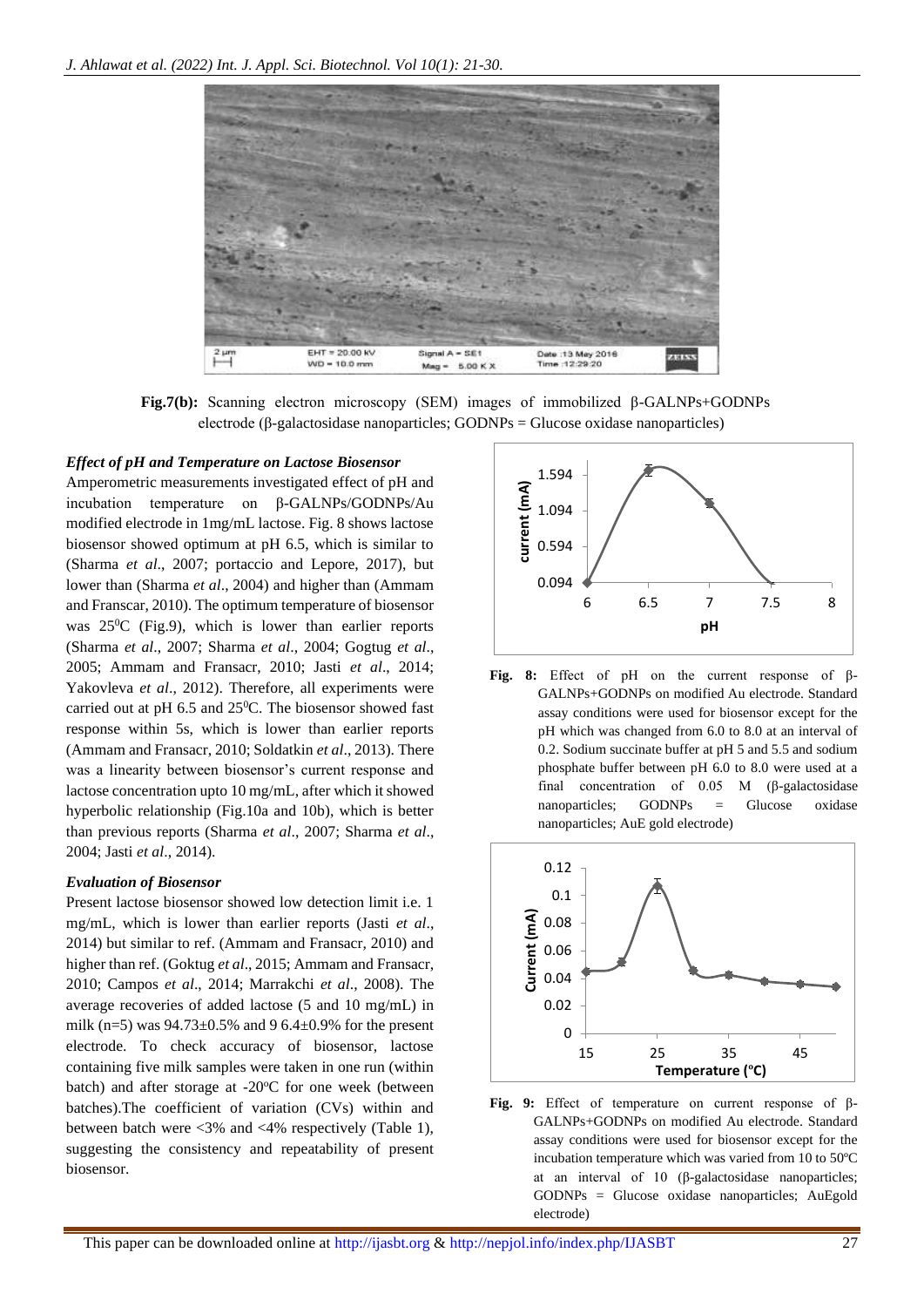

**Fig.7(b):** Scanning electron microscopy (SEM) images of immobilized β-GALNPs+GODNPs electrode (β-galactosidase nanoparticles; GODNPs = Glucose oxidase nanoparticles)

#### *Effect of pH and Temperature on Lactose Biosensor*

Amperometric measurements investigated effect of pH and incubation temperature on β-GALNPs/GODNPs/Au modified electrode in 1mg/mL lactose. Fig. 8 shows lactose biosensor showed optimum at pH 6.5, which is similar to (Sharma *et al*., 2007; portaccio and Lepore, 2017), but lower than (Sharma *et al*., 2004) and higher than (Ammam and Franscar, 2010). The optimum temperature of biosensor was  $25^{\circ}$ C (Fig.9), which is lower than earlier reports (Sharma *et al*., 2007; Sharma *et al*., 2004; Gogtug *et al*., 2005; Ammam and Fransacr, 2010; Jasti *et al*., 2014; Yakovleva *et al*., 2012). Therefore, all experiments were carried out at pH  $6.5$  and  $25^{\circ}$ C. The biosensor showed fast response within 5s, which is lower than earlier reports (Ammam and Fransacr, 2010; Soldatkin *et al*., 2013). There was a linearity between biosensor's current response and lactose concentration upto 10 mg/mL, after which it showed hyperbolic relationship (Fig.10a and 10b), which is better than previous reports (Sharma *et al*., 2007; Sharma *et al*., 2004; Jasti *et al*., 2014).

#### *Evaluation of Biosensor*

Present lactose biosensor showed low detection limit i.e. 1 mg/mL, which is lower than earlier reports (Jasti *et al*., 2014) but similar to ref. (Ammam and Fransacr, 2010) and higher than ref. (Goktug *et al*., 2015; Ammam and Fransacr, 2010; Campos *et al*., 2014; Marrakchi *et al*., 2008). The average recoveries of added lactose (5 and 10 mg/mL) in milk (n=5) was  $94.73 \pm 0.5\%$  and 9 6.4 $\pm 0.9\%$  for the present electrode. To check accuracy of biosensor, lactose containing five milk samples were taken in one run (within batch) and after storage at  $-20^{\circ}$ C for one week (between batches).The coefficient of variation (CVs) within and between batch were <3% and <4% respectively (Table 1), suggesting the consistency and repeatability of present biosensor.



**Fig. 8:** Effect of pH on the current response of β-GALNPs+GODNPs on modified Au electrode. Standard assay conditions were used for biosensor except for the pH which was changed from 6.0 to 8.0 at an interval of 0.2. Sodium succinate buffer at pH 5 and 5.5 and sodium phosphate buffer between pH 6.0 to 8.0 were used at a final concentration of 0.05 M (β-galactosidase nanoparticles; GODNPs = Glucose oxidase nanoparticles; AuE gold electrode)



**Fig. 9:** Effect of temperature on current response of β-GALNPs+GODNPs on modified Au electrode. Standard assay conditions were used for biosensor except for the incubation temperature which was varied from 10 to 50ºC at an interval of 10 (β-galactosidase nanoparticles; GODNPs = Glucose oxidase nanoparticles; AuEgold electrode)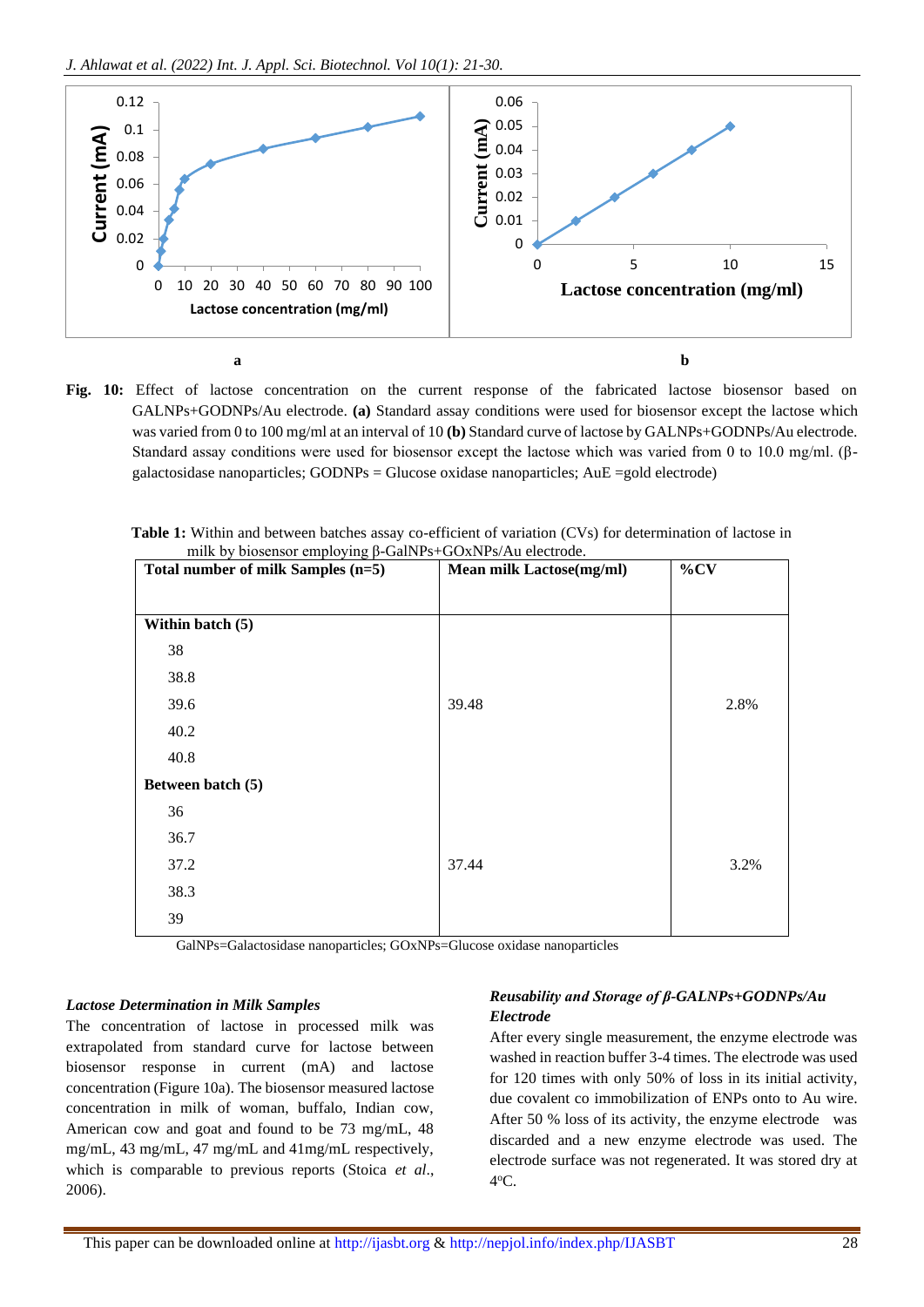

**Fig. 10:** Effect of lactose concentration on the current response of the fabricated lactose biosensor based on GALNPs+GODNPs/Au electrode. **(a)** Standard assay conditions were used for biosensor except the lactose which was varied from 0 to 100 mg/ml at an interval of 10 **(b)** Standard curve of lactose by GALNPs+GODNPs/Au electrode. Standard assay conditions were used for biosensor except the lactose which was varied from 0 to 10.0 mg/ml. (βgalactosidase nanoparticles; GODNPs = Glucose oxidase nanoparticles; AuE =gold electrode)

|  |                                                                  | Table 1: Within and between batches assay co-efficient of variation (CVs) for determination of lactose in |
|--|------------------------------------------------------------------|-----------------------------------------------------------------------------------------------------------|
|  | milk by biosensor employing $\beta$ -GalNPs+GOxNPs/Au electrode. |                                                                                                           |

| Total number of milk Samples (n=5) | Mean milk Lactose(mg/ml) | $\%CV$ |
|------------------------------------|--------------------------|--------|
|                                    |                          |        |
| Within batch (5)                   |                          |        |
| 38                                 |                          |        |
| 38.8                               |                          |        |
| 39.6                               | 39.48                    | 2.8%   |
| 40.2                               |                          |        |
| 40.8                               |                          |        |
| Between batch (5)                  |                          |        |
| 36                                 |                          |        |
| 36.7                               |                          |        |
| 37.2                               | 37.44                    | 3.2%   |
| 38.3                               |                          |        |
| 39                                 |                          |        |

GalNPs=Galactosidase nanoparticles; GOxNPs=Glucose oxidase nanoparticles

#### *Lactose Determination in Milk Samples*

The concentration of lactose in processed milk was extrapolated from standard curve for lactose between biosensor response in current (mA) and lactose concentration (Figure 10a). The biosensor measured lactose concentration in milk of woman, buffalo, Indian cow, American cow and goat and found to be 73 mg/mL, 48 mg/mL, 43 mg/mL, 47 mg/mL and 41mg/mL respectively, which is comparable to previous reports (Stoica *et al*., 2006).

## *Reusability and Storage of β-GALNPs+GODNPs/Au Electrode*

After every single measurement, the enzyme electrode was washed in reaction buffer 3-4 times. The electrode was used for 120 times with only 50% of loss in its initial activity, due covalent co immobilization of ENPs onto to Au wire. After 50 % loss of its activity, the enzyme electrode was discarded and a new enzyme electrode was used. The electrode surface was not regenerated. It was stored dry at 4 <sup>o</sup>C.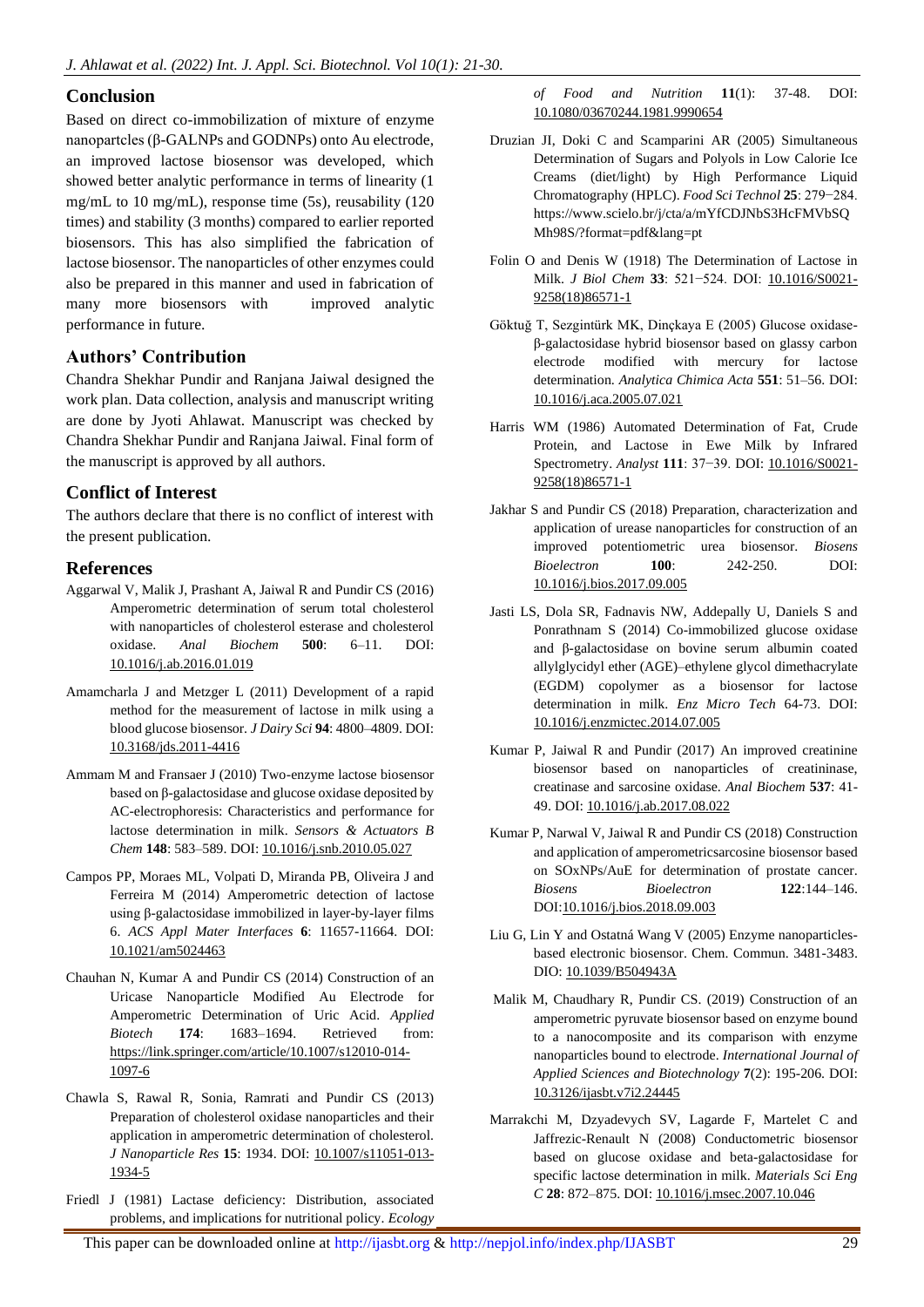## **Conclusion**

Based on direct co-immobilization of mixture of enzyme nanopartcles (β-GALNPs and GODNPs) onto Au electrode, an improved lactose biosensor was developed, which showed better analytic performance in terms of linearity (1 mg/mL to 10 mg/mL), response time (5s), reusability (120 times) and stability (3 months) compared to earlier reported biosensors. This has also simplified the fabrication of lactose biosensor. The nanoparticles of other enzymes could also be prepared in this manner and used in fabrication of many more biosensors with improved analytic performance in future.

# **Authors' Contribution**

Chandra Shekhar Pundir and Ranjana Jaiwal designed the work plan. Data collection, analysis and manuscript writing are done by Jyoti Ahlawat. Manuscript was checked by Chandra Shekhar Pundir and Ranjana Jaiwal. Final form of the manuscript is approved by all authors.

## **Conflict of Interest**

The authors declare that there is no conflict of interest with the present publication.

## **References**

- Aggarwal V, Malik J, Prashant A, Jaiwal R and Pundir CS (2016) Amperometric determination of serum total cholesterol with nanoparticles of cholesterol esterase and cholesterol oxidase. *Anal Biochem* **500**: 6–11. DOI: [10.1016/j.ab.2016.01.019](https://doi.org/10.1016/j.ab.2016.01.019)
- Amamcharla J and Metzger L (2011) Development of a rapid method for the measurement of lactose in milk using a blood glucose biosensor. *J Dairy Sci* **94**: 4800–4809. DOI: [10.3168/jds.2011-4416](https://doi.org/10.3168/jds.2011-4416)
- Ammam M and Fransaer J (2010) Two-enzyme lactose biosensor based on β-galactosidase and glucose oxidase deposited by AC-electrophoresis: Characteristics and performance for lactose determination in milk. *Sensors & Actuators B Chem* **148**: 583–589. DOI: [10.1016/j.snb.2010.05.027](https://doi.org/10.1016/j.snb.2010.05.027)
- Campos PP, Moraes ML, Volpati D, Miranda PB, Oliveira J and Ferreira M (2014) Amperometric detection of lactose using β-galactosidase immobilized in layer-by-layer films 6. *ACS Appl Mater Interfaces* **6**: 11657-11664. DOI: [10.1021/am5024463](https://doi.org/10.1021/am5024463)
- Chauhan N, Kumar A and Pundir CS (2014) Construction of an Uricase Nanoparticle Modified Au Electrode for Amperometric Determination of Uric Acid. *Applied Biotech* **174**: 1683–1694. Retrieved from: [https://link.springer.com/article/10.1007/s12010-014-](https://link.springer.com/article/10.1007/s12010-014-1097-6) [1097-6](https://link.springer.com/article/10.1007/s12010-014-1097-6)
- Chawla S, Rawal R, Sonia, Ramrati and Pundir CS (2013) Preparation of cholesterol oxidase nanoparticles and their application in amperometric determination of cholesterol. *J Nanoparticle Res* **15**: 1934. DOI: [10.1007/s11051-013-](https://doi.org/10.1007/s11051-013-1934-5) [1934-5](https://doi.org/10.1007/s11051-013-1934-5)
- Friedl J (1981) Lactase deficiency: Distribution, associated problems, and implications for nutritional policy. *Ecology*

*of Food and Nutrition* **11**(1): 37-48. DOI: [10.1080/03670244.1981.9990654](https://doi.org/10.1080/03670244.1981.9990654)

- Druzian JI, Doki C and Scamparini AR (2005) Simultaneous Determination of Sugars and Polyols in Low Calorie Ice Creams (diet/light) by High Performance Liquid Chromatography (HPLC). *Food Sci Technol* **25**: 279−284. https://www.scielo.br/j/cta/a/mYfCDJNbS3HcFMVbSQ Mh98S/?format=pdf&lang=pt
- Folin O and Denis W (1918) The Determination of Lactose in Milk. *J Biol Chem* **33**: 521−524. DOI: [10.1016/S0021-](https://doi.org/10.1016/S0021-9258(18)86571-1) [9258\(18\)86571-1](https://doi.org/10.1016/S0021-9258(18)86571-1)
- Göktuğ T, Sezgintürk MK, Dinçkaya E (2005) Glucose oxidaseβ-galactosidase hybrid biosensor based on glassy carbon electrode modified with mercury for lactose determination. *Analytica Chimica Acta* **551**: 51–56. DOI: [10.1016/j.aca.2005.07.021](https://doi.org/10.1016/j.aca.2005.07.021)
- Harris WM (1986) Automated Determination of Fat, Crude Protein, and Lactose in Ewe Milk by Infrared Spectrometry. *Analyst* **111**: 37-39. DOI: [10.1016/S0021-](https://doi.org/10.1016/S0021-9258(18)86571-1) [9258\(18\)86571-1](https://doi.org/10.1016/S0021-9258(18)86571-1)
- Jakhar S and Pundir CS (2018) Preparation, characterization and application of urease nanoparticles for construction of an improved potentiometric urea biosensor. *Biosens Bioelectron* **100**: 242-250. DOI: [10.1016/j.bios.2017.09.005](https://doi.org/10.1016/j.bios.2017.09.005)
- Jasti LS, Dola SR, Fadnavis NW, Addepally U, Daniels S and Ponrathnam S (2014) Co-immobilized glucose oxidase and β-galactosidase on bovine serum albumin coated allylglycidyl ether (AGE)–ethylene glycol dimethacrylate (EGDM) copolymer as a biosensor for lactose determination in milk. *Enz Micro Tech* 64-73. DOI: [10.1016/j.enzmictec.2014.07.005](https://doi.org/10.1016/j.enzmictec.2014.07.005)
- Kumar P, Jaiwal R and Pundir (2017) An improved creatinine biosensor based on nanoparticles of creatininase, creatinase and sarcosine oxidase. *Anal Biochem* **537**: 41- 49. DOI[: 10.1016/j.ab.2017.08.022](https://doi.org/10.1016/j.ab.2017.08.022)
- Kumar P, Narwal V, Jaiwal R and Pundir CS (2018) Construction and application of amperometricsarcosine biosensor based on SOxNPs/AuE for determination of prostate cancer. *Biosens Bioelectron* **122**:144–146. DOI[:10.1016/j.bios.2018.09.003](https://doi.org/10.1016/j.bios.2018.09.003)
- Liu G, Lin Y and Ostatná Wang V (2005) Enzyme nanoparticlesbased electronic biosensor. Chem. Commun. 3481-3483. DIO[: 10.1039/B504943A](https://doi.org/10.1039/B504943A)
- Malik M, Chaudhary R, Pundir CS. (2019) Construction of an amperometric pyruvate biosensor based on enzyme bound to a nanocomposite and its comparison with enzyme nanoparticles bound to electrode. *International Journal of Applied Sciences and Biotechnology* **7**(2): 195-206. DOI: [10.3126/ijasbt.v7i2.24445](https://doi.org/10.3126/ijasbt.v7i2.24445)
- Marrakchi M, Dzyadevych SV, Lagarde F, Martelet C and Jaffrezic-Renault N (2008) Conductometric biosensor based on glucose oxidase and beta-galactosidase for specific lactose determination in milk. *Materials Sci Eng C* **28**: 872–875. DOI[: 10.1016/j.msec.2007.10.046](https://doi.org/10.1016/j.msec.2007.10.046)